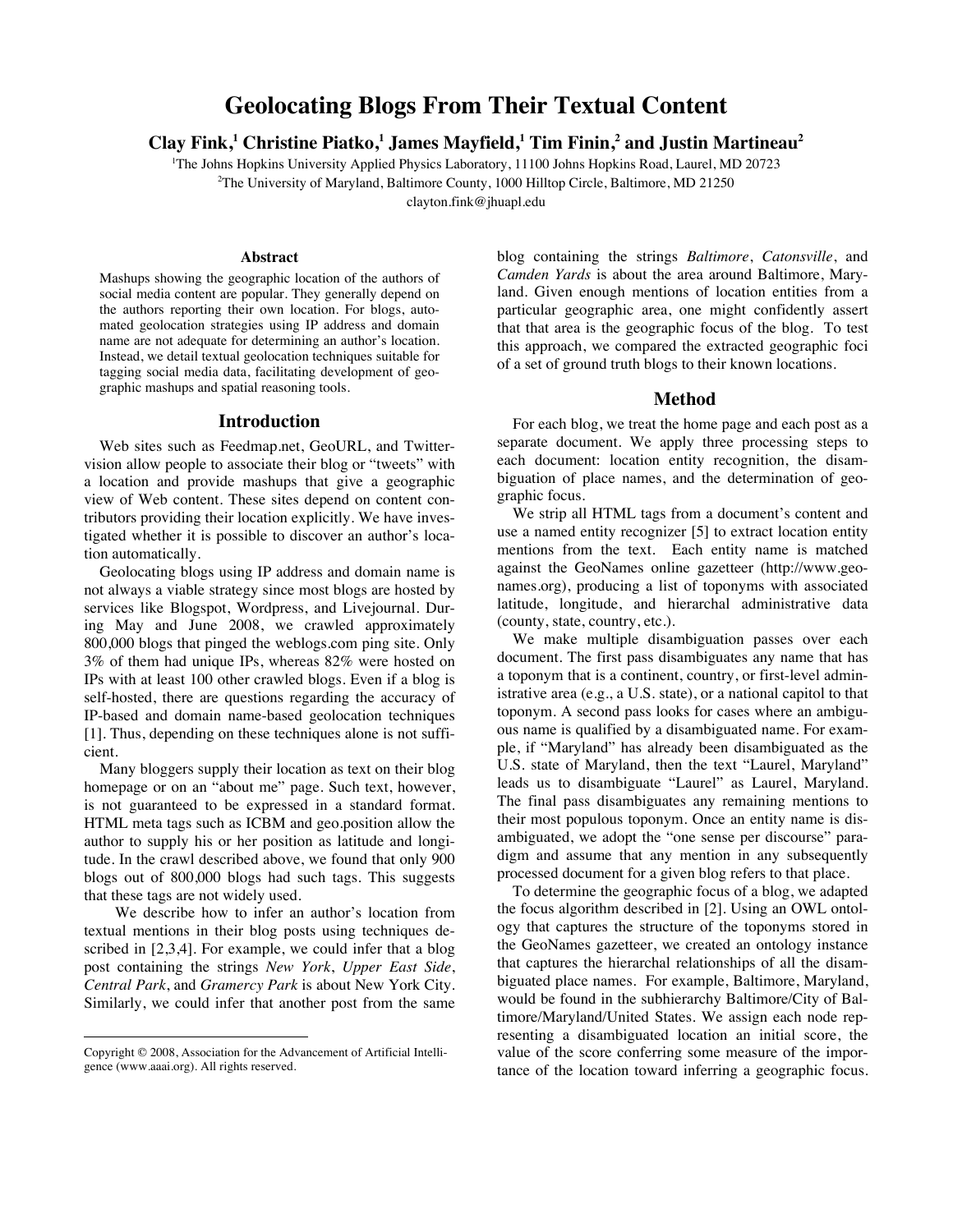# **Geolocating Blogs From Their Textual Content**

**Clay Fink,<sup>1</sup> Christine Piatko,1 James Mayfield,<sup>1</sup> Tim Finin, <sup>2</sup> and Justin Martineau<sup>2</sup>**

1 The Johns Hopkins University Applied Physics Laboratory, 11100 Johns Hopkins Road, Laurel, MD 20723 <sup>2</sup>The University of Maryland, Baltimore County, 1000 Hilltop Circle, Baltimore, MD 21250

clayton.fink@jhuapl.edu

#### **Abstract**

Mashups showing the geographic location of the authors of social media content are popular. They generally depend on the authors reporting their own location. For blogs, automated geolocation strategies using IP address and domain name are not adequate for determining an author's location. Instead, we detail textual geolocation techniques suitable for tagging social media data, facilitating development of geographic mashups and spatial reasoning tools.

#### **Introduction**

Web sites such as Feedmap.net, GeoURL, and Twittervision allow people to associate their blog or "tweets" with a location and provide mashups that give a geographic view of Web content. These sites depend on content contributors providing their location explicitly. We have investigated whether it is possible to discover an author's location automatically.

Geolocating blogs using IP address and domain name is not always a viable strategy since most blogs are hosted by services like Blogspot, Wordpress, and Livejournal. During May and June 2008, we crawled approximately 800,000 blogs that pinged the weblogs.com ping site. Only 3% of them had unique IPs, whereas 82% were hosted on IPs with at least 100 other crawled blogs. Even if a blog is self-hosted, there are questions regarding the accuracy of IP-based and domain name-based geolocation techniques [1]. Thus, depending on these techniques alone is not sufficient.

Many bloggers supply their location as text on their blog homepage or on an "about me" page. Such text, however, is not guaranteed to be expressed in a standard format. HTML meta tags such as ICBM and geo.position allow the author to supply his or her position as latitude and longitude. In the crawl described above, we found that only 900 blogs out of 800,000 blogs had such tags. This suggests that these tags are not widely used.

We describe how to infer an author's location from textual mentions in their blog posts using techniques described in [2,3,4]. For example, we could infer that a blog post containing the strings *New York*, *Upper East Side*, *Central Park*, and *Gramercy Park* is about New York City. Similarly, we could infer that another post from the same

 $\overline{a}$ 

blog containing the strings *Baltimore*, *Catonsville*, and *Camden Yards* is about the area around Baltimore, Maryland. Given enough mentions of location entities from a particular geographic area, one might confidently assert that that area is the geographic focus of the blog. To test this approach, we compared the extracted geographic foci of a set of ground truth blogs to their known locations.

#### **Method**

For each blog, we treat the home page and each post as a separate document. We apply three processing steps to each document: location entity recognition, the disambiguation of place names, and the determination of geographic focus.

We strip all HTML tags from a document's content and use a named entity recognizer [5] to extract location entity mentions from the text. Each entity name is matched against the GeoNames online gazetteer (http://www.geonames.org), producing a list of toponyms with associated latitude, longitude, and hierarchal administrative data (county, state, country, etc.).

We make multiple disambiguation passes over each document. The first pass disambiguates any name that has a toponym that is a continent, country, or first-level administrative area (e.g., a U.S. state), or a national capitol to that toponym. A second pass looks for cases where an ambiguous name is qualified by a disambiguated name. For example, if "Maryland" has already been disambiguated as the U.S. state of Maryland, then the text "Laurel, Maryland" leads us to disambiguate "Laurel" as Laurel, Maryland. The final pass disambiguates any remaining mentions to their most populous toponym. Once an entity name is disambiguated, we adopt the "one sense per discourse" paradigm and assume that any mention in any subsequently processed document for a given blog refers to that place.

To determine the geographic focus of a blog, we adapted the focus algorithm described in [2]. Using an OWL ontology that captures the structure of the toponyms stored in the GeoNames gazetteer, we created an ontology instance that captures the hierarchal relationships of all the disambiguated place names. For example, Baltimore, Maryland, would be found in the subhierarchy Baltimore/City of Baltimore/Maryland/United States. We assign each node representing a disambiguated location an initial score, the value of the score conferring some measure of the importance of the location toward inferring a geographic focus.

Copyright © 2008, Association for the Advancement of Artificial Intelligence (www.aaai.org). All rights reserved.